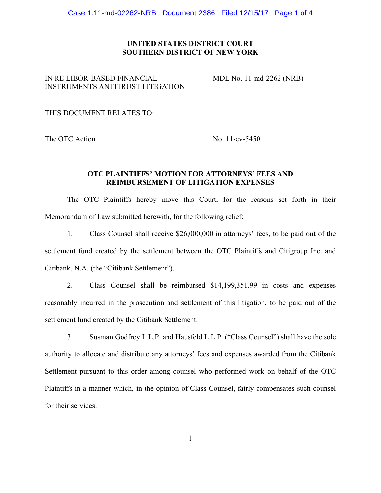## **UNITED STATES DISTRICT COURT SOUTHERN DISTRICT OF NEW YORK**

IN RE LIBOR-BASED FINANCIAL INSTRUMENTS ANTITRUST LITIGATION MDL No. 11-md-2262 (NRB)

THIS DOCUMENT RELATES TO:

The OTC Action  $\vert$  No. 11-cv-5450

## **OTC PLAINTIFFS' MOTION FOR ATTORNEYS' FEES AND REIMBURSEMENT OF LITIGATION EXPENSES**

The OTC Plaintiffs hereby move this Court, for the reasons set forth in their Memorandum of Law submitted herewith, for the following relief:

1. Class Counsel shall receive \$26,000,000 in attorneys' fees, to be paid out of the settlement fund created by the settlement between the OTC Plaintiffs and Citigroup Inc. and Citibank, N.A. (the "Citibank Settlement").

2. Class Counsel shall be reimbursed \$14,199,351.99 in costs and expenses reasonably incurred in the prosecution and settlement of this litigation, to be paid out of the settlement fund created by the Citibank Settlement.

3. Susman Godfrey L.L.P. and Hausfeld L.L.P. ("Class Counsel") shall have the sole authority to allocate and distribute any attorneys' fees and expenses awarded from the Citibank Settlement pursuant to this order among counsel who performed work on behalf of the OTC Plaintiffs in a manner which, in the opinion of Class Counsel, fairly compensates such counsel for their services.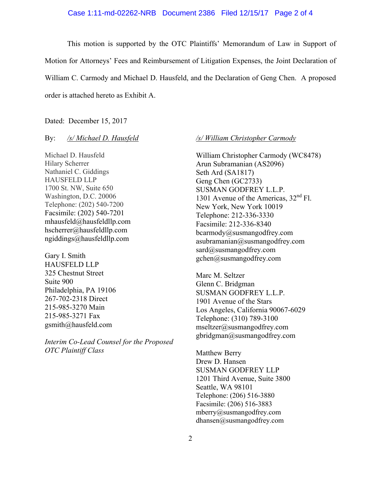#### Case 1:11-md-02262-NRB Document 2386 Filed 12/15/17 Page 2 of 4

This motion is supported by the OTC Plaintiffs' Memorandum of Law in Support of Motion for Attorneys' Fees and Reimbursement of Litigation Expenses, the Joint Declaration of William C. Carmody and Michael D. Hausfeld, and the Declaration of Geng Chen. A proposed order is attached hereto as Exhibit A.

Dated: December 15, 2017

### By: */s/ Michael D. Hausfeld*

Michael D. Hausfeld Hilary Scherrer Nathaniel C. Giddings HAUSFELD LLP 1700 St. NW, Suite 650 Washington, D.C. 20006 Telephone: (202) 540-7200 Facsimile: (202) 540-7201 mhausfeld@hausfeldllp.com hscherrer@hausfeldllp.com ngiddings@hausfeldllp.com

Gary I. Smith HAUSFELD LLP 325 Chestnut Street Suite 900 Philadelphia, PA 19106 267-702-2318 Direct 215-985-3270 Main 215-985-3271 Fax gsmith@hausfeld.com

*Interim Co-Lead Counsel for the Proposed OTC Plaintiff Class* 

#### */s/ William Christopher Carmody*

William Christopher Carmody (WC8478) Arun Subramanian (AS2096) Seth Ard (SA1817) Geng Chen (GC2733) SUSMAN GODFREY L.L.P. 1301 Avenue of the Americas,  $32<sup>nd</sup>$  Fl. New York, New York 10019 Telephone: 212-336-3330 Facsimile: 212-336-8340 bcarmody@susmangodfrey.com  $a$ subramanian $@s$ usmangodfrey.com sard@susmangodfrey.com gchen@susmangodfrey.com

Marc M. Seltzer Glenn C. Bridgman SUSMAN GODFREY L.L.P. 1901 Avenue of the Stars Los Angeles, California 90067-6029 Telephone: (310) 789-3100 mseltzer@susmangodfrey.com gbridgman@susmangodfrey.com

Matthew Berry Drew D. Hansen SUSMAN GODFREY LLP 1201 Third Avenue, Suite 3800 Seattle, WA 98101 Telephone: (206) 516-3880 Facsimile: (206) 516-3883 mberry@susmangodfrey.com dhansen@susmangodfrey.com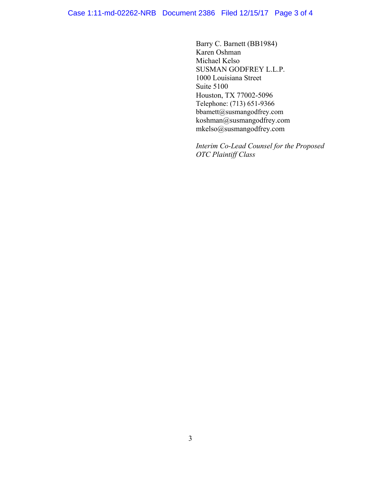Barry C. Barnett (BB1984) Karen Oshman Michael Kelso SUSMAN GODFREY L.L.P. 1000 Louisiana Street Suite 5100 Houston, TX 77002-5096 Telephone: (713) 651-9366 bbamett@susmangodfrey.com koshman@susmangodfrey.com mkelso@susmangodfrey.com

*Interim Co-Lead Counsel for the Proposed OTC Plaintiff Class*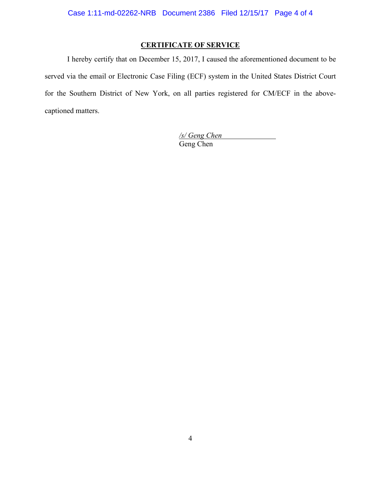# **CERTIFICATE OF SERVICE**

I hereby certify that on December 15, 2017, I caused the aforementioned document to be served via the email or Electronic Case Filing (ECF) system in the United States District Court for the Southern District of New York, on all parties registered for CM/ECF in the abovecaptioned matters.

> */s/ Geng Chen*  Geng Chen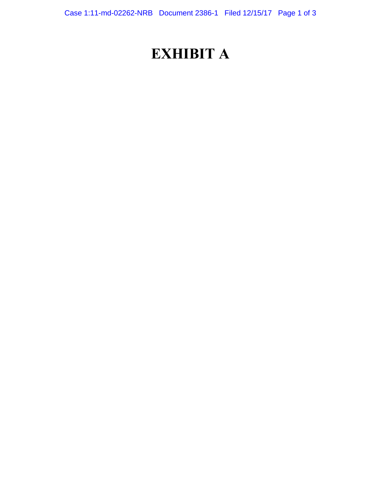# **EXHIBIT A**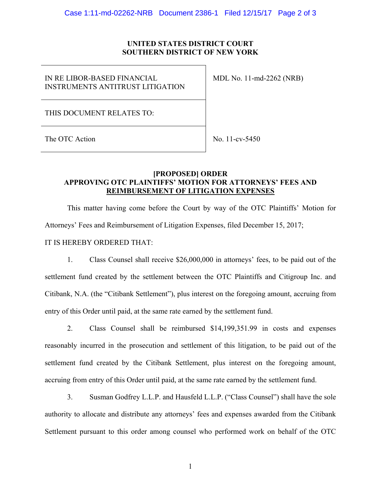## **UNITED STATES DISTRICT COURT SOUTHERN DISTRICT OF NEW YORK**

IN RE LIBOR-BASED FINANCIAL INSTRUMENTS ANTITRUST LITIGATION MDL No. 11-md-2262 (NRB)

THIS DOCUMENT RELATES TO:

The OTC Action  $\log 11$ -cv-5450

## **[PROPOSED] ORDER APPROVING OTC PLAINTIFFS' MOTION FOR ATTORNEYS' FEES AND REIMBURSEMENT OF LITIGATION EXPENSES**

This matter having come before the Court by way of the OTC Plaintiffs' Motion for Attorneys' Fees and Reimbursement of Litigation Expenses, filed December 15, 2017; IT IS HEREBY ORDERED THAT:

1. Class Counsel shall receive \$26,000,000 in attorneys' fees, to be paid out of the settlement fund created by the settlement between the OTC Plaintiffs and Citigroup Inc. and Citibank, N.A. (the "Citibank Settlement"), plus interest on the foregoing amount, accruing from entry of this Order until paid, at the same rate earned by the settlement fund.

2. Class Counsel shall be reimbursed \$14,199,351.99 in costs and expenses reasonably incurred in the prosecution and settlement of this litigation, to be paid out of the settlement fund created by the Citibank Settlement, plus interest on the foregoing amount, accruing from entry of this Order until paid, at the same rate earned by the settlement fund.

3. Susman Godfrey L.L.P. and Hausfeld L.L.P. ("Class Counsel") shall have the sole authority to allocate and distribute any attorneys' fees and expenses awarded from the Citibank Settlement pursuant to this order among counsel who performed work on behalf of the OTC